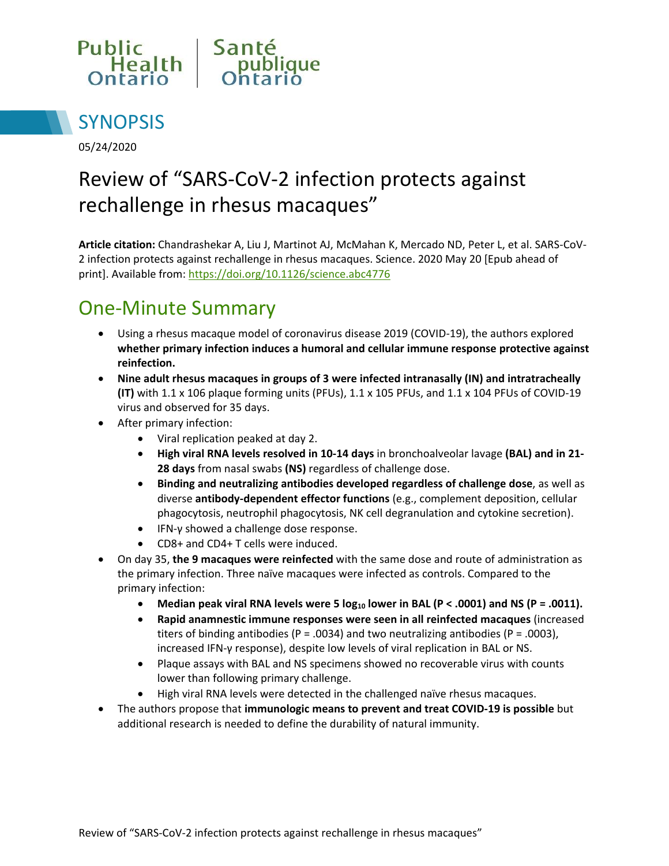



05/24/2020

# Review of "SARS-CoV-2 infection protects against rechallenge in rhesus macaques"

**Article citation:** Chandrashekar A, Liu J, Martinot AJ, McMahan K, Mercado ND, Peter L, et al. SARS-CoV-2 infection protects against rechallenge in rhesus macaques. Science. 2020 May 20 [Epub ahead of print]. Available from: <https://doi.org/10.1126/science.abc4776>

## One-Minute Summary

- Using a rhesus macaque model of coronavirus disease 2019 (COVID-19), the authors explored **whether primary infection induces a humoral and cellular immune response protective against reinfection.**
- **Nine adult rhesus macaques in groups of 3 were infected intranasally (IN) and intratracheally (IT)** with 1.1 x 106 plaque forming units (PFUs), 1.1 x 105 PFUs, and 1.1 x 104 PFUs of COVID-19 virus and observed for 35 days.
- After primary infection:
	- Viral replication peaked at day 2.
	- **High viral RNA levels resolved in 10-14 days** in bronchoalveolar lavage **(BAL) and in 21- 28 days** from nasal swabs **(NS)** regardless of challenge dose.
	- **Binding and neutralizing antibodies developed regardless of challenge dose**, as well as diverse **antibody-dependent effector functions** (e.g., complement deposition, cellular phagocytosis, neutrophil phagocytosis, NK cell degranulation and cytokine secretion).
	- IFN-γ showed a challenge dose response.
	- CD8+ and CD4+ T cells were induced.
- On day 35, **the 9 macaques were reinfected** with the same dose and route of administration as the primary infection. Three naïve macaques were infected as controls. Compared to the primary infection:
	- **Median peak viral RNA levels were 5 log<sup>10</sup> lower in BAL (P < .0001) and NS (P = .0011).**
	- **Rapid anamnestic immune responses were seen in all reinfected macaques** (increased titers of binding antibodies (P = .0034) and two neutralizing antibodies (P = .0003), increased IFN-γ response), despite low levels of viral replication in BAL or NS.
	- Plaque assays with BAL and NS specimens showed no recoverable virus with counts lower than following primary challenge.
	- High viral RNA levels were detected in the challenged naïve rhesus macaques.
- The authors propose that **immunologic means to prevent and treat COVID-19 is possible** but additional research is needed to define the durability of natural immunity.